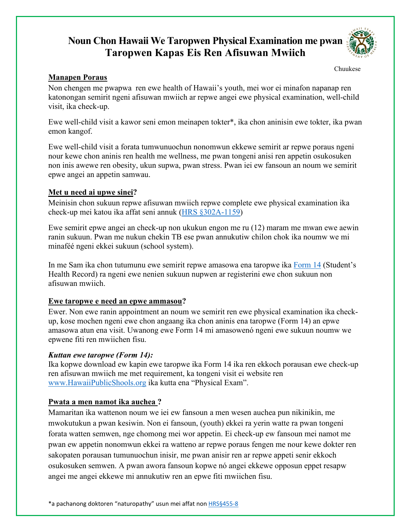# **Noun Chon Hawaii We Taropwen Physical Examination me pwan Taropwen Kapas Eis Ren Afisuwan Mwiich**



Chuukese

#### **Manapen Poraus**

Non chengen me pwapwa ren ewe health of Hawaii's youth, mei wor ei minafon napanap ren katonongan semirit ngeni afisuwan mwiich ar repwe angei ewe physical examination, well-child visit, ika check-up.

Ewe well-child visit a kawor seni emon meinapen tokter\*, ika chon aninisin ewe tokter, ika pwan emon kangof.

Ewe well-child visit a forata tumwunuochun nonomwun ekkewe semirit ar repwe poraus ngeni nour kewe chon aninis ren health me wellness, me pwan tongeni anisi ren appetin osukosuken non inis awewe ren obesity, ukun supwa, pwan stress. Pwan iei ew fansoun an noum we semirit epwe angei an appetin samwau.

### **Met u need ai upwe sinei?**

Meinisin chon sukuun repwe afisuwan mwiich repwe complete ewe physical examination ika check-up mei katou ika affat seni annuk [\(HRS §302A-1159\)](https://www.capitol.hawaii.gov/hrscurrent/Vol05_Ch0261-0319/HRS0302A/HRS_0302A-1159.htm)

Ewe semirit epwe angei an check-up non ukukun engon me ru (12) maram me mwan ewe aewin ranin sukuun. Pwan me nukun chekin TB ese pwan annukutiw chilon chok ika noumw we mi minaféé ngeni ekkei sukuun (school system).

In me Sam ika chon tutumunu ewe semirit repwe amasowa ena taropwe ika [Form 14](https://www.hawaiipublicschools.org/DOE%20Forms/Enrollment/StudentHealthRecord.pdf) (Student's Health Record) ra ngeni ewe nenien sukuun nupwen ar registerini ewe chon sukuun non afisuwan mwiich.

## **Ewe taropwe e need an epwe ammasou?**

Ewer. Non ewe ranin appointment an noum we semirit ren ewe physical examination ika checkup, kose mochen ngeni ewe chon angaang ika chon aninis ena taropwe (Form 14) an epwe amasowa atun ena visit. Uwanong ewe Form 14 mi amasowenó ngeni ewe sukuun noumw we epwene fiti ren mwiichen fisu.

#### *Kuttan ewe taropwe (Form 14):*

Ika kopwe download ew kapin ewe taropwe ika Form 14 ika ren ekkoch porausan ewe check-up ren afisuwan mwiich me met requirement, ka tongeni visit ei website ren [www.HawaiiPublicShools.org](http://www.hawaiipublicshools.org/) ika kutta ena "Physical Exam".

## **Pwata a men namot ika auchea ?**

Mamaritan ika wattenon noum we iei ew fansoun a men wesen auchea pun nikinikin, me mwokutukun a pwan kesiwin. Non ei fansoun, (youth) ekkei ra yerin watte ra pwan tongeni forata watten semwen, nge chomong mei wor appetin. Ei check-up ew fansoun mei namot me pwan ew appetin nonomwun ekkei ra watteno ar repwe poraus fengen me nour kewe dokter ren sakopaten porausan tumunuochun inisir, me pwan anisir ren ar repwe appeti senir ekkoch osukosuken semwen. A pwan awora fansoun kopwe nó angei ekkewe opposun eppet resapw angei me angei ekkewe mi annukutiw ren an epwe fiti mwiichen fisu.